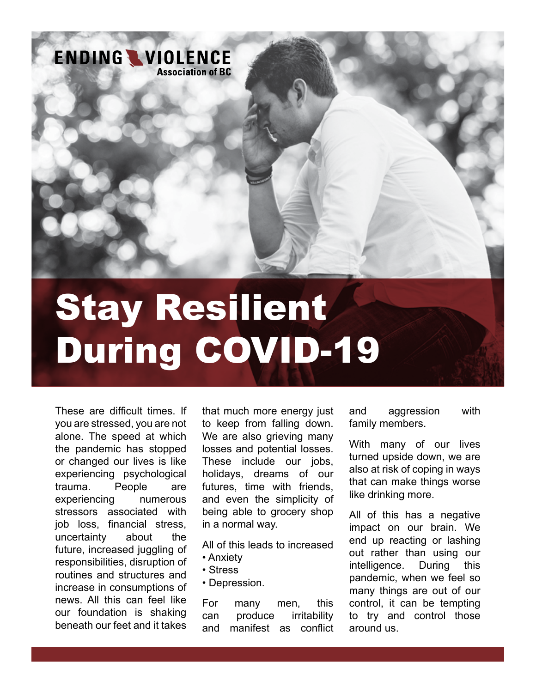

# Stay Resilient During COVID-19

These are difficult times. If you are stressed, you are not alone. The speed at which the pandemic has stopped or changed our lives is like experiencing psychological trauma. People are experiencing numerous stressors associated with job loss, financial stress, uncertainty about the future, increased juggling of responsibilities, disruption of routines and structures and increase in consumptions of news. All this can feel like our foundation is shaking beneath our feet and it takes

that much more energy just to keep from falling down. We are also grieving many losses and potential losses. These include our jobs, holidays, dreams of our futures, time with friends, and even the simplicity of being able to grocery shop in a normal way.

All of this leads to increased

- Anxiety
- Stress
- Depression.

For many men, this can produce irritability and manifest as conflict

and aggression with family members.

With many of our lives turned upside down, we are also at risk of coping in ways that can make things worse like drinking more.

All of this has a negative impact on our brain. We end up reacting or lashing out rather than using our intelligence. During this pandemic, when we feel so many things are out of our control, it can be tempting to try and control those around us.